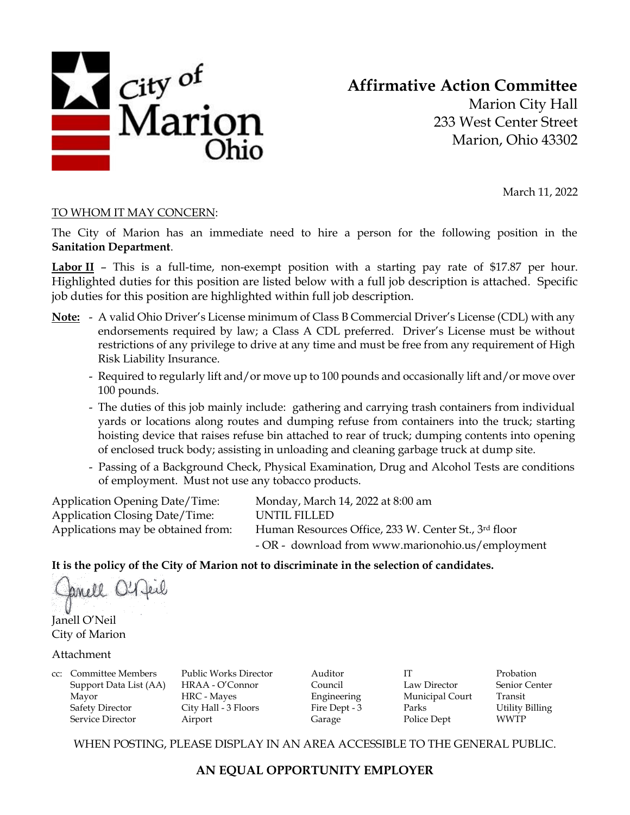

**Affirmative Action Committee**

Marion City Hall 233 West Center Street Marion, Ohio 43302

March 11, 2022

### TO WHOM IT MAY CONCERN:

The City of Marion has an immediate need to hire a person for the following position in the **Sanitation Department**.

Labor II – This is a full-time, non-exempt position with a starting pay rate of \$17.87 per hour. Highlighted duties for this position are listed below with a full job description is attached. Specific job duties for this position are highlighted within full job description.

- **Note:** A valid Ohio Driver's License minimum of Class B Commercial Driver's License (CDL) with any endorsements required by law; a Class A CDL preferred. Driver's License must be without restrictions of any privilege to drive at any time and must be free from any requirement of High Risk Liability Insurance.
	- Required to regularly lift and/or move up to 100 pounds and occasionally lift and/or move over 100 pounds.
	- The duties of this job mainly include: gathering and carrying trash containers from individual yards or locations along routes and dumping refuse from containers into the truck; starting hoisting device that raises refuse bin attached to rear of truck; dumping contents into opening of enclosed truck body; assisting in unloading and cleaning garbage truck at dump site.
	- Passing of a Background Check, Physical Examination, Drug and Alcohol Tests are conditions of employment. Must not use any tobacco products.

Application Opening Date/Time: Monday, March 14, 2022 at 8:00 am Application Closing Date/Time: UNTIL FILLED

Applications may be obtained from: Human Resources Office, 233 W. Center St., 3rd floor - OR - download from www.marionohio.us/employment

# **It is the policy of the City of Marion not to discriminate in the selection of candidates.**

anell O'

Janell O'Neil City of Marion

### Attachment

cc: Committee Members Public Works Director Auditor IT Probation Support Data List (AA) HRAA - O'Connor Council Law Director Senior Center Mayor HRC - Mayes Engineering Municipal Court Transit Mayor HRC - Mayes Engineering Municipal Court Transit Service Director **Airport** Airport Garage Police Dept WWTP

Safety Director City Hall - 3 Floors Fire Dept - 3 Parks Utility Billing

WHEN POSTING, PLEASE DISPLAY IN AN AREA ACCESSIBLE TO THE GENERAL PUBLIC.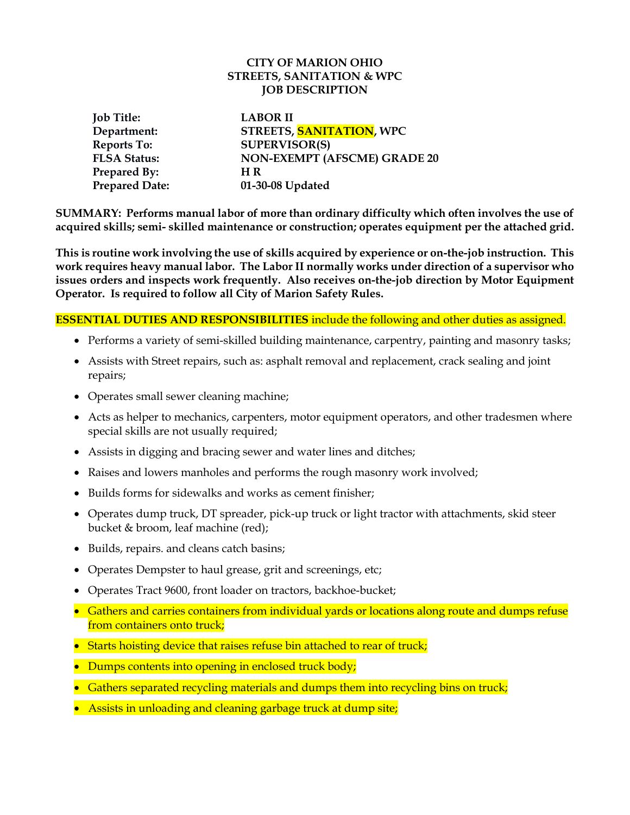#### **CITY OF MARION OHIO STREETS, SANITATION & WPC JOB DESCRIPTION**

| <b>Job Title:</b>     | <b>LABOR II</b>                     |
|-----------------------|-------------------------------------|
| Department:           | STREETS, SANITATION, WPC            |
| Reports To:           | <b>SUPERVISOR(S)</b>                |
| <b>FLSA Status:</b>   | <b>NON-EXEMPT (AFSCME) GRADE 20</b> |
| <b>Prepared By:</b>   | H R                                 |
| <b>Prepared Date:</b> | 01-30-08 Updated                    |

**SUMMARY: Performs manual labor of more than ordinary difficulty which often involves the use of acquired skills; semi- skilled maintenance or construction; operates equipment per the attached grid.** 

**This is routine work involving the use of skills acquired by experience or on-the-job instruction. This work requires heavy manual labor. The Labor II normally works under direction of a supervisor who issues orders and inspects work frequently. Also receives on-the-job direction by Motor Equipment Operator. Is required to follow all City of Marion Safety Rules.**

## **ESSENTIAL DUTIES AND RESPONSIBILITIES** include the following and other duties as assigned.

- Performs a variety of semi-skilled building maintenance, carpentry, painting and masonry tasks;
- Assists with Street repairs, such as: asphalt removal and replacement, crack sealing and joint repairs;
- Operates small sewer cleaning machine;
- Acts as helper to mechanics, carpenters, motor equipment operators, and other tradesmen where special skills are not usually required;
- Assists in digging and bracing sewer and water lines and ditches;
- Raises and lowers manholes and performs the rough masonry work involved;
- Builds forms for sidewalks and works as cement finisher;
- Operates dump truck, DT spreader, pick-up truck or light tractor with attachments, skid steer bucket & broom, leaf machine (red);
- Builds, repairs. and cleans catch basins;
- Operates Dempster to haul grease, grit and screenings, etc;
- Operates Tract 9600, front loader on tractors, backhoe-bucket;
- Gathers and carries containers from individual yards or locations along route and dumps refuse from containers onto truck;
- Starts hoisting device that raises refuse bin attached to rear of truck;
- Dumps contents into opening in enclosed truck body;
- Gathers separated recycling materials and dumps them into recycling bins on truck;
- Assists in unloading and cleaning garbage truck at dump site;